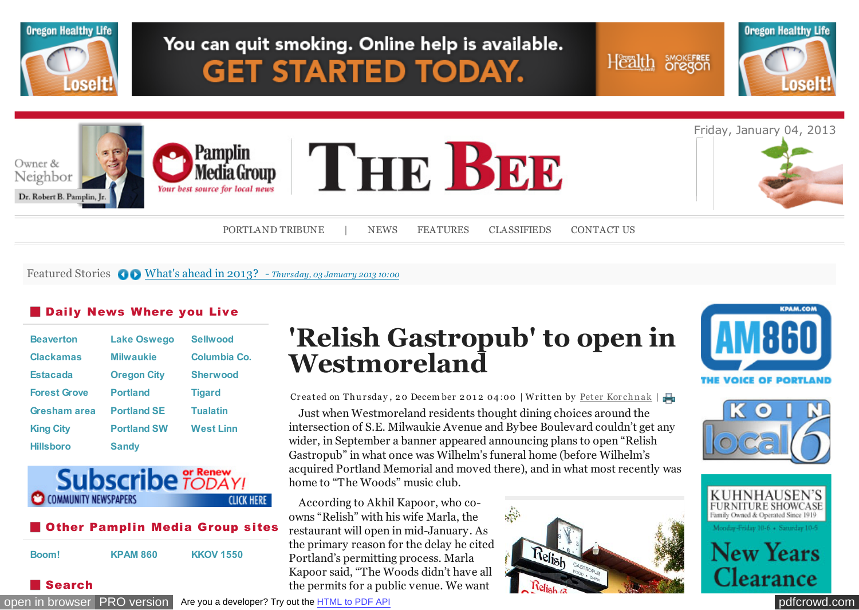

#### Featured Stories  $\bigcirc$  [What's ahead in 2013? -](http://portlandtribune.com/pt/9-news/125886-whats-ahead-in-2013?%20) *Thursday, 03 January 2013 10:00*

### **Daily News Where you Live**

| <b>Beaverton</b>    | <b>Lake Oswego</b> | <b>Sellwood</b>  |
|---------------------|--------------------|------------------|
| <b>Clackamas</b>    | <b>Milwaukie</b>   | Columbia Co.     |
| <b>Estacada</b>     | <b>Oregon City</b> | <b>Sherwood</b>  |
| <b>Forest Grove</b> | <b>Portland</b>    | <b>Tigard</b>    |
| Gresham area        | <b>Portland SE</b> | <b>Tualatin</b>  |
| <b>King City</b>    | <b>Portland SW</b> | <b>West Linn</b> |
| <b>Hillsboro</b>    | <b>Sandy</b>       |                  |



### **Other Pamplin Media Group sites**

| Boom! | <b>KPAM 860</b> | <b>KKOV 1550</b> |
|-------|-----------------|------------------|
|       |                 |                  |

Search

# **'Relish Gastropub' to open in Westmoreland**

Createdon Thursday, 20 December 2012 04:00 | Written by Peter Korchnak |

Just when Westmoreland residents thought dining choices around the intersection of S.E. Milwaukie Avenue and Bybee Boulevard couldn't get any wider, in September a banner appeared announcing plans to open "Relish Gastropub" in what once was Wilhelm's funeral home (before Wilhelm's acquired Portland Memorial and moved there), and in what most recently was home to "The Woods" music club.

According to Akhil Kapoor, who coowns "Relish" with his wife Marla, the restaurant will open in mid-January. As the primary reason for the delay he cited Portland's permitting process. Marla Kapoor said, "The Woods didn't have all the permits for a public venue. We want









[open in browser](http://pdfcrowd.com/redirect/?url=http%3a%2f%2fportlandtribune.com%2fsb%2f75-features%2f125040-relish-gastropub-to-open-in-westmoreland-&id=ma-130104115044-2785a80d) [PRO version](http://pdfcrowd.com/customize/) Are you a developer? Try out th[e HTML to PDF API](http://pdfcrowd.com/html-to-pdf-api/?ref=pdf) produce the example of the state of the API [pdfcrowd.](http://openx.pmgwebads.com/www/delivery/ck.php?oaparams=2__bannerid=1456__zoneid=284__cb=607c96eb97__oadest=http%3A%2F%2Fwww.kuhnhausensfurniture.com%2F)[com](http://pdfcrowd.com)